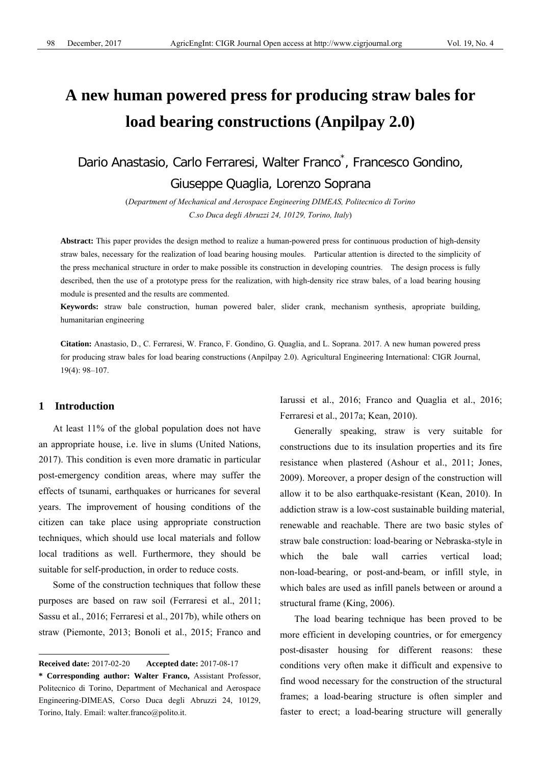# **A new human powered press for producing straw bales for load bearing constructions (Anpilpay 2.0)**

Dario Anastasio, Carlo Ferraresi, Walter Franco<sup>\*</sup>, Francesco Gondino, Giuseppe Quaglia, Lorenzo Soprana

> (*Department of Mechanical and Aerospace Engineering DIMEAS, Politecnico di Torino C.so Duca degli Abruzzi 24, 10129, Torino, Italy*)

**Abstract:** This paper provides the design method to realize a human-powered press for continuous production of high-density straw bales, necessary for the realization of load bearing housing moules. Particular attention is directed to the simplicity of the press mechanical structure in order to make possible its construction in developing countries. The design process is fully described, then the use of a prototype press for the realization, with high-density rice straw bales, of a load bearing housing module is presented and the results are commented.

**Keywords:** straw bale construction, human powered baler, slider crank, mechanism synthesis, apropriate building, humanitarian engineering

**Citation:** Anastasio, D., C. Ferraresi, W. Franco, F. Gondino, G. Quaglia, and L. Soprana. 2017. A new human powered press for producing straw bales for load bearing constructions (Anpilpay 2.0). Agricultural Engineering International: CIGR Journal, 19(4): 98–107.

## **1 Introduction**

 $\overline{a}$ 

At least 11% of the global population does not have an appropriate house, i.e. live in slums (United Nations, 2017). This condition is even more dramatic in particular post-emergency condition areas, where may suffer the effects of tsunami, earthquakes or hurricanes for several years. The improvement of housing conditions of the citizen can take place using appropriate construction techniques, which should use local materials and follow local traditions as well. Furthermore, they should be suitable for self-production, in order to reduce costs.

Some of the construction techniques that follow these purposes are based on raw soil (Ferraresi et al., 2011; Sassu et al., 2016; Ferraresi et al., 2017b), while others on straw (Piemonte, 2013; Bonoli et al., 2015; Franco and Iarussi et al., 2016; Franco and Quaglia et al., 2016; Ferraresi et al., 2017a; Kean, 2010).

Generally speaking, straw is very suitable for constructions due to its insulation properties and its fire resistance when plastered (Ashour et al., 2011; Jones, 2009). Moreover, a proper design of the construction will allow it to be also earthquake-resistant (Kean, 2010). In addiction straw is a low-cost sustainable building material, renewable and reachable. There are two basic styles of straw bale construction: load-bearing or Nebraska-style in which the bale wall carries vertical load; non-load-bearing, or post-and-beam, or infill style, in which bales are used as infill panels between or around a structural frame (King, 2006).

The load bearing technique has been proved to be more efficient in developing countries, or for emergency post-disaster housing for different reasons: these conditions very often make it difficult and expensive to find wood necessary for the construction of the structural frames; a load-bearing structure is often simpler and faster to erect; a load-bearing structure will generally

**Received date:** 2017-02-20 **Accepted date:** 2017-08-17

**<sup>\*</sup> Corresponding author: Walter Franco,** Assistant Professor, Politecnico di Torino, Department of Mechanical and Aerospace Engineering-DIMEAS, Corso Duca degli Abruzzi 24, 10129, Torino, Italy. Email: walter.franco@polito.it.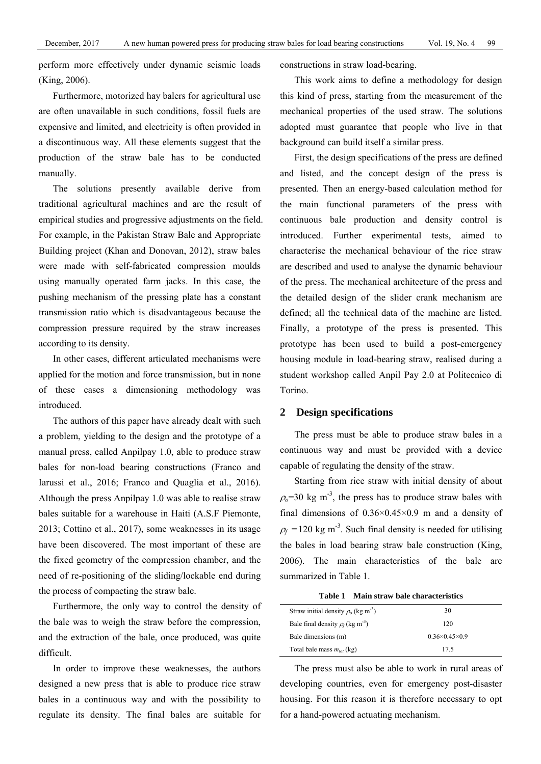perform more effectively under dynamic seismic loads (King, 2006).

Furthermore, motorized hay balers for agricultural use are often unavailable in such conditions, fossil fuels are expensive and limited, and electricity is often provided in a discontinuous way. All these elements suggest that the production of the straw bale has to be conducted manually.

The solutions presently available derive from traditional agricultural machines and are the result of empirical studies and progressive adjustments on the field. For example, in the Pakistan Straw Bale and Appropriate Building project (Khan and Donovan, 2012), straw bales were made with self-fabricated compression moulds using manually operated farm jacks. In this case, the pushing mechanism of the pressing plate has a constant transmission ratio which is disadvantageous because the compression pressure required by the straw increases according to its density.

In other cases, different articulated mechanisms were applied for the motion and force transmission, but in none of these cases a dimensioning methodology was introduced.

The authors of this paper have already dealt with such a problem, yielding to the design and the prototype of a manual press, called Anpilpay 1.0, able to produce straw bales for non-load bearing constructions (Franco and Iarussi et al., 2016; Franco and Quaglia et al., 2016). Although the press Anpilpay 1.0 was able to realise straw bales suitable for a warehouse in Haiti (A.S.F Piemonte, 2013; Cottino et al., 2017), some weaknesses in its usage have been discovered. The most important of these are the fixed geometry of the compression chamber, and the need of re-positioning of the sliding/lockable end during the process of compacting the straw bale.

Furthermore, the only way to control the density of the bale was to weigh the straw before the compression, and the extraction of the bale, once produced, was quite difficult.

In order to improve these weaknesses, the authors designed a new press that is able to produce rice straw bales in a continuous way and with the possibility to regulate its density. The final bales are suitable for constructions in straw load-bearing.

This work aims to define a methodology for design this kind of press, starting from the measurement of the mechanical properties of the used straw. The solutions adopted must guarantee that people who live in that background can build itself a similar press.

First, the design specifications of the press are defined and listed, and the concept design of the press is presented. Then an energy-based calculation method for the main functional parameters of the press with continuous bale production and density control is introduced. Further experimental tests, aimed to characterise the mechanical behaviour of the rice straw are described and used to analyse the dynamic behaviour of the press. The mechanical architecture of the press and the detailed design of the slider crank mechanism are defined; all the technical data of the machine are listed. Finally, a prototype of the press is presented. This prototype has been used to build a post-emergency housing module in load-bearing straw, realised during a student workshop called Anpil Pay 2.0 at Politecnico di Torino.

#### **2 Design specifications**

The press must be able to produce straw bales in a continuous way and must be provided with a device capable of regulating the density of the straw.

Starting from rice straw with initial density of about  $\rho<sub>o</sub>=30$  kg m<sup>-3</sup>, the press has to produce straw bales with final dimensions of  $0.36 \times 0.45 \times 0.9$  m and a density of  $\rho_f$  =120 kg m<sup>-3</sup>. Such final density is needed for utilising the bales in load bearing straw bale construction (King, 2006). The main characteristics of the bale are summarized in Table 1.

**Table 1 Main straw bale characteristics** 

| Straw initial density $\rho_0$ (kg m <sup>-3</sup> ) | 30                        |  |
|------------------------------------------------------|---------------------------|--|
| Bale final density $\rho_f$ (kg m <sup>-3</sup> )    | 120                       |  |
| Bale dimensions (m)                                  | $0.36\times0.45\times0.9$ |  |
| Total bale mass $m_{tot}$ (kg)                       | 175                       |  |

The press must also be able to work in rural areas of developing countries, even for emergency post-disaster housing. For this reason it is therefore necessary to opt for a hand-powered actuating mechanism.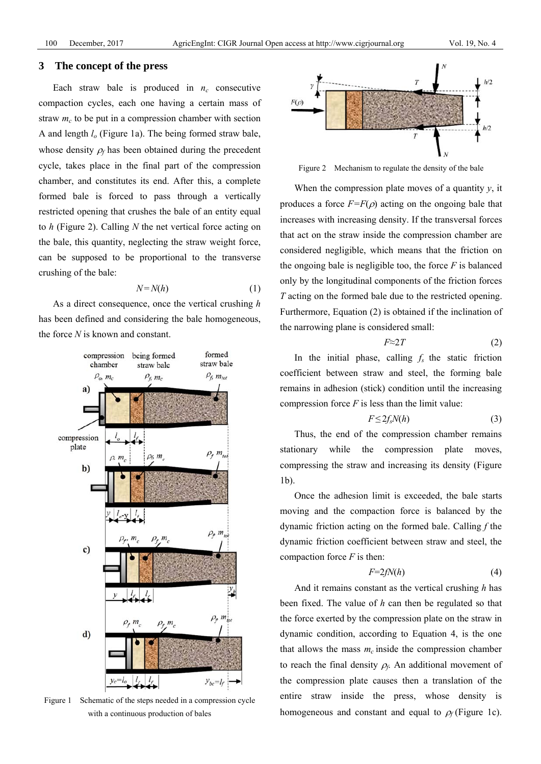#### **3 The concept of the press**

Each straw bale is produced in  $n_c$  consecutive compaction cycles, each one having a certain mass of straw  $m_c$  to be put in a compression chamber with section A and length *lo* (Figure 1a). The being formed straw bale, whose density  $\rho_f$  has been obtained during the precedent cycle, takes place in the final part of the compression chamber, and constitutes its end. After this, a complete formed bale is forced to pass through a vertically restricted opening that crushes the bale of an entity equal to *h* (Figure 2). Calling *N* the net vertical force acting on the bale, this quantity, neglecting the straw weight force, can be supposed to be proportional to the transverse crushing of the bale:

$$
N = N(h) \tag{1}
$$

As a direct consequence, once the vertical crushing *h* has been defined and considering the bale homogeneous, the force *N* is known and constant.



Figure 1 Schematic of the steps needed in a compression cycle with a continuous production of bales



Figure 2 Mechanism to regulate the density of the bale

When the compression plate moves of a quantity *y*, it produces a force  $F=F(\rho)$  acting on the ongoing bale that increases with increasing density. If the transversal forces that act on the straw inside the compression chamber are considered negligible, which means that the friction on the ongoing bale is negligible too, the force  $F$  is balanced only by the longitudinal components of the friction forces *T* acting on the formed bale due to the restricted opening. Furthermore, Equation (2) is obtained if the inclination of the narrowing plane is considered small:

$$
F \approx 2T \tag{2}
$$

In the initial phase, calling  $f_s$  the static friction coefficient between straw and steel, the forming bale remains in adhesion (stick) condition until the increasing compression force  $F$  is less than the limit value:

$$
F \le 2f_s N(h) \tag{3}
$$

Thus, the end of the compression chamber remains stationary while the compression plate moves, compressing the straw and increasing its density (Figure 1b).

Once the adhesion limit is exceeded, the bale starts moving and the compaction force is balanced by the dynamic friction acting on the formed bale. Calling *f* the dynamic friction coefficient between straw and steel, the compaction force *F* is then:

$$
F=2fN(h)\tag{4}
$$

And it remains constant as the vertical crushing *h* has been fixed. The value of *h* can then be regulated so that the force exerted by the compression plate on the straw in dynamic condition, according to Equation 4, is the one that allows the mass  $m<sub>c</sub>$  inside the compression chamber to reach the final density  $\rho_f$ . An additional movement of the compression plate causes then a translation of the entire straw inside the press, whose density is homogeneous and constant and equal to  $\rho_f$  (Figure 1c).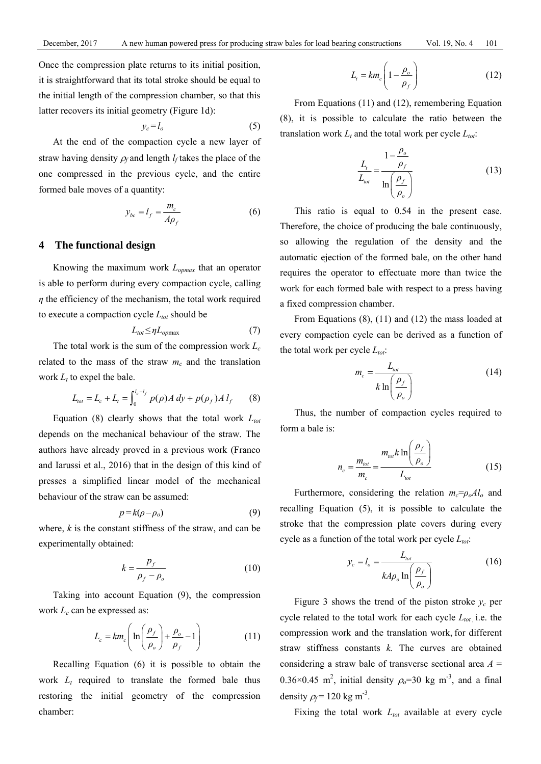Once the compression plate returns to its initial position, it is straightforward that its total stroke should be equal to the initial length of the compression chamber, so that this latter recovers its initial geometry (Figure 1d):

$$
y_c = l_o \tag{5}
$$

At the end of the compaction cycle a new layer of straw having density  $\rho_f$  and length  $l_f$  takes the place of the one compressed in the previous cycle, and the entire formed bale moves of a quantity:

$$
y_{bc} = l_f = \frac{m_c}{A\rho_f} \tag{6}
$$

## **4 The functional design**

 Knowing the maximum work *Lopmax* that an operator is able to perform during every compaction cycle, calling *η* the efficiency of the mechanism, the total work required to execute a compaction cycle  $L_{tot}$  should be

$$
L_{tot} \leq \eta L_{opmax} \tag{7}
$$

The total work is the sum of the compression work  $L_c$ related to the mass of the straw  $m_c$  and the translation work  $L_t$  to expel the bale.

$$
L_{tot} = L_c + L_t = \int_0^{l_o - l_f} p(\rho) A \, dy + p(\rho_f) A \, l_f \qquad (8)
$$

Equation  $(8)$  clearly shows that the total work  $L_{tot}$ depends on the mechanical behaviour of the straw. The authors have already proved in a previous work (Franco and Iarussi et al., 2016) that in the design of this kind of presses a simplified linear model of the mechanical behaviour of the straw can be assumed:

$$
p = k(\rho - \rho_o) \tag{9}
$$

where, *k* is the constant stiffness of the straw, and can be experimentally obtained:

$$
k = \frac{p_f}{\rho_f - \rho_o} \tag{10}
$$

Taking into account Equation (9), the compression work *L<sub>c</sub>* can be expressed as:

$$
L_c = km_c \left( \ln \left( \frac{\rho_f}{\rho_o} \right) + \frac{\rho_o}{\rho_f} - 1 \right)
$$
 (11)

Recalling Equation (6) it is possible to obtain the work  $L_t$  required to translate the formed bale thus restoring the initial geometry of the compression chamber:

$$
L_t = km_c \left(1 - \frac{\rho_o}{\rho_f}\right) \tag{12}
$$

From Equations (11) and (12), remembering Equation (8), it is possible to calculate the ratio between the translation work  $L_t$  and the total work per cycle  $L_{tot}$ :

$$
\frac{L_t}{L_{tot}} = \frac{1 - \frac{\rho_o}{\rho_f}}{\ln\left(\frac{\rho_f}{\rho_o}\right)}\tag{13}
$$

This ratio is equal to 0.54 in the present case. Therefore, the choice of producing the bale continuously, so allowing the regulation of the density and the automatic ejection of the formed bale, on the other hand requires the operator to effectuate more than twice the work for each formed bale with respect to a press having a fixed compression chamber.

From Equations (8), (11) and (12) the mass loaded at every compaction cycle can be derived as a function of the total work per cycle  $L_{tot}$ :

$$
m_c = \frac{L_{tot}}{k \ln\left(\frac{\rho_f}{\rho_o}\right)}\tag{14}
$$

Thus, the number of compaction cycles required to form a bale is:

$$
n_c = \frac{m_{tot}}{m_c} = \frac{m_{tot}k \ln\left(\frac{\rho_f}{\rho_o}\right)}{L_{tot}}
$$
 (15)

Furthermore, considering the relation  $m_c = \rho_o A l_o$  and recalling Equation (5), it is possible to calculate the stroke that the compression plate covers during every cycle as a function of the total work per cycle  $L_{tot}$ :

$$
y_c = l_o = \frac{L_{tot}}{k A \rho_o \ln\left(\frac{\rho_f}{\rho_o}\right)}
$$
(16)

Figure 3 shows the trend of the piston stroke  $y_c$  per cycle related to the total work for each cycle  $L_{tot}$ , i.e. the compression work and the translation work, for different straw stiffness constants *k*. The curves are obtained considering a straw bale of transverse sectional area *A* =  $0.36 \times 0.45$  m<sup>2</sup>, initial density  $\rho_o = 30$  kg m<sup>-3</sup>, and a final density  $\rho_f$  = 120 kg m<sup>-3</sup>.

Fixing the total work  $L_{tot}$  available at every cycle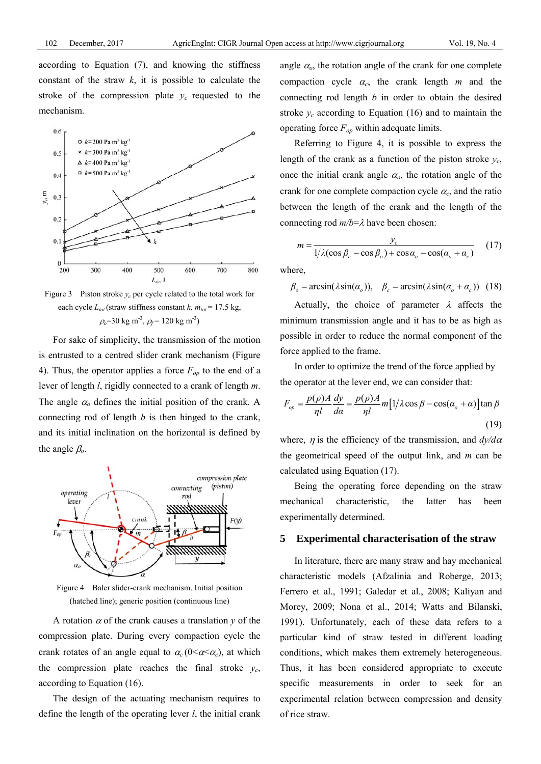according to Equation (7), and knowing the stiffness constant of the straw  $k$ , it is possible to calculate the stroke of the compression plate  $y_c$  requested to the mechanism.



Figure 3 Piston stroke  $y_c$  per cycle related to the total work for each cycle  $L_{tot}$  (straw stiffness constant *k, m<sub>tot</sub>* = 17.5 kg,  $\rho_o$ =30 kg m<sup>-3</sup>,  $\rho_f$ = 120 kg m<sup>-3</sup>)

For sake of simplicity, the transmission of the motion is entrusted to a centred slider crank mechanism (Figure 4). Thus, the operator applies a force  $F_{op}$  to the end of a lever of length *l*, rigidly connected to a crank of length *m*. The angle  $\alpha_0$  defines the initial position of the crank. A connecting rod of length *b* is then hinged to the crank, and its initial inclination on the horizontal is defined by the angle β*o*.



Figure 4 Baler slider-crank mechanism. Initial position (hatched line); generic position (continuous line)

A rotation  $\alpha$  of the crank causes a translation  $\gamma$  of the compression plate. During every compaction cycle the crank rotates of an angle equal to  $\alpha_c (0 \le \alpha \le \alpha_c)$ , at which the compression plate reaches the final stroke *yc*, according to Equation (16).

The design of the actuating mechanism requires to define the length of the operating lever *l*, the initial crank angle  $\alpha$ <sub>o</sub>, the rotation angle of the crank for one complete compaction cycle  $\alpha_c$ , the crank length  $m$  and the connecting rod length *b* in order to obtain the desired stroke  $y_c$  according to Equation (16) and to maintain the operating force *Fop* within adequate limits.

Referring to Figure 4, it is possible to express the length of the crank as a function of the piston stroke *yc*, once the initial crank angle  $\alpha_o$ , the rotation angle of the crank for one complete compaction cycle  $\alpha_c$ , and the ratio between the length of the crank and the length of the connecting rod *m/b*=λ have been chosen:

$$
m = \frac{y_c}{1/\lambda(\cos\beta_c - \cos\beta_o) + \cos\alpha_o - \cos(\alpha_o + \alpha_c)}\tag{17}
$$

where,

 $\beta_{o} = \arcsin(\lambda \sin(\alpha_{o}))$ ,  $\beta_{c} = \arcsin(\lambda \sin(\alpha_{o} + \alpha_{c}))$  (18)

Actually, the choice of parameter  $\lambda$  affects the minimum transmission angle and it has to be as high as possible in order to reduce the normal component of the force applied to the frame.

In order to optimize the trend of the force applied by the operator at the lever end, we can consider that:

$$
F_{op} = \frac{p(\rho)A}{\eta l} \frac{dy}{d\alpha} = \frac{p(\rho)A}{\eta l} m \left[ 1/\lambda \cos \beta - \cos(\alpha_o + \alpha) \right] \tan \beta
$$
\n(19)

where,  $\eta$  is the efficiency of the transmission, and  $\frac{dy}{d\alpha}$ the geometrical speed of the output link, and *m* can be calculated using Equation (17).

Being the operating force depending on the straw mechanical characteristic, the latter has been experimentally determined.

#### **5 Experimental characterisation of the straw**

In literature, there are many straw and hay mechanical characteristic models (Afzalinia and Roberge, 2013; Ferrero et al., 1991; Galedar et al., 2008; Kaliyan and Morey, 2009; Nona et al., 2014; Watts and Bilanski, 1991). Unfortunately, each of these data refers to a particular kind of straw tested in different loading conditions, which makes them extremely heterogeneous. Thus, it has been considered appropriate to execute specific measurements in order to seek for an experimental relation between compression and density of rice straw.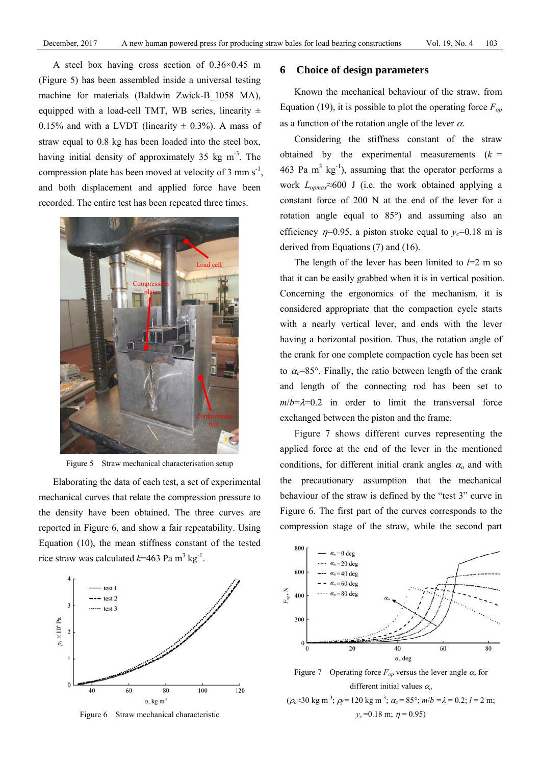A steel box having cross section of 0.36×0.45 m (Figure 5) has been assembled inside a universal testing machine for materials (Baldwin Zwick-B\_1058 MA), equipped with a load-cell TMT, WB series, linearity  $\pm$ 0.15% and with a LVDT (linearity  $\pm$  0.3%). A mass of straw equal to 0.8 kg has been loaded into the steel box, having initial density of approximately  $35 \text{ kg m}^{-3}$ . The compression plate has been moved at velocity of 3 mm  $s^{-1}$ , and both displacement and applied force have been recorded. The entire test has been repeated three times.



Figure 5 Straw mechanical characterisation setup

Elaborating the data of each test, a set of experimental mechanical curves that relate the compression pressure to the density have been obtained. The three curves are reported in Figure 6, and show a fair repeatability. Using Equation (10), the mean stiffness constant of the tested rice straw was calculated  $k=463$  Pa m<sup>3</sup> kg<sup>-1</sup>.



Figure 6 Straw mechanical characteristic

## **6 Choice of design parameters**

Known the mechanical behaviour of the straw, from Equation (19), it is possible to plot the operating force  $F_{op}$ as a function of the rotation angle of the lever  $\alpha$ .

Considering the stiffness constant of the straw obtained by the experimental measurements  $(k =$ 463 Pa  $m^3$  kg<sup>-1</sup>), assuming that the operator performs a work *Lopmax*≈600 J (i.e. the work obtained applying a constant force of 200 N at the end of the lever for a rotation angle equal to 85°) and assuming also an efficiency  $n=0.95$ , a piston stroke equal to  $y_c=0.18$  m is derived from Equations (7) and (16).

The length of the lever has been limited to  $l=2$  m so that it can be easily grabbed when it is in vertical position. Concerning the ergonomics of the mechanism, it is considered appropriate that the compaction cycle starts with a nearly vertical lever, and ends with the lever having a horizontal position. Thus, the rotation angle of the crank for one complete compaction cycle has been set to  $\alpha_c$ =85°. Finally, the ratio between length of the crank and length of the connecting rod has been set to  $m/b = \lambda = 0.2$  in order to limit the transversal force exchanged between the piston and the frame.

Figure 7 shows different curves representing the applied force at the end of the lever in the mentioned conditions, for different initial crank angles  $\alpha_0$  and with the precautionary assumption that the mechanical behaviour of the straw is defined by the "test 3" curve in Figure 6. The first part of the curves corresponds to the compression stage of the straw, while the second part



Figure 7 Operating force  $F_{op}$  versus the lever angle  $\alpha$ , for different initial values <sup>α</sup>*<sup>o</sup>*  $(\rho_0$ ≈30 kg m<sup>-3</sup>;  $\rho_f$ =120 kg m<sup>-3</sup>;  $\alpha_c$  = 85°; *m*/*b* =  $\lambda$  = 0.2; *l* = 2 m;  $y_c = 0.18$  m;  $\eta = 0.95$ )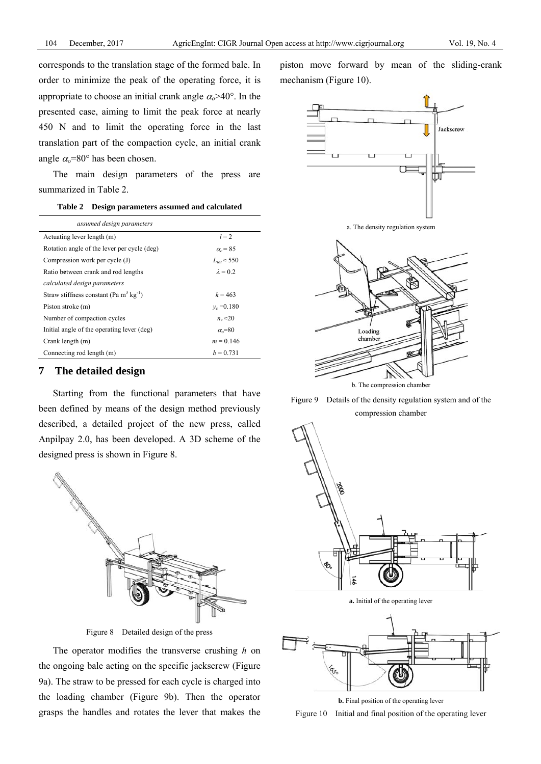corresponds to the translation stage of the formed bale. In order to minimize the peak of the operating force, it is appropriate to choose an initial crank angle  $\alpha_0 > 40^\circ$ . In the presented case, aiming to limit the peak force at nearly 450 N and to limit the operating force in the last translation part of the compaction cycle, an initial crank angle  $\alpha$ <sup>=80°</sup> has been chosen.

The main design parameters of the press are summarized in Table 2.

| Table 2 Design parameters assumed and calculated |  |  |  |  |  |  |  |  |  |  |  |  |  |  |  |  |  |  |  |  |  |  |  |  |  |  |  |  |  |  |  |  |  |  |  |  |  |  |  |  |  |  |  |  |  |  |  |  |  |  |  |  |  |  |  |  |  |  |  |  |  |  |  |  |  |  |  |  |  |  |  |  |  |  |  |  |  |  |  |  |  |  |  |  |  |  |  |  |  |  |  |  |  |  |  |  |  |  |  |  |  |  |  |  |  |  |  |  |  |  |  |  |  |  |  |  |  |  |  |  |  |  |  |  |  |  |  |  |  |  |  |  |  |  |  |  |  |  |  |  |  |  |  |  |  |  |
|--------------------------------------------------|--|--|--|--|--|--|--|--|--|--|--|--|--|--|--|--|--|--|--|--|--|--|--|--|--|--|--|--|--|--|--|--|--|--|--|--|--|--|--|--|--|--|--|--|--|--|--|--|--|--|--|--|--|--|--|--|--|--|--|--|--|--|--|--|--|--|--|--|--|--|--|--|--|--|--|--|--|--|--|--|--|--|--|--|--|--|--|--|--|--|--|--|--|--|--|--|--|--|--|--|--|--|--|--|--|--|--|--|--|--|--|--|--|--|--|--|--|--|--|--|--|--|--|--|--|--|--|--|--|--|--|--|--|--|--|--|--|--|--|--|--|--|--|--|--|--|
|--------------------------------------------------|--|--|--|--|--|--|--|--|--|--|--|--|--|--|--|--|--|--|--|--|--|--|--|--|--|--|--|--|--|--|--|--|--|--|--|--|--|--|--|--|--|--|--|--|--|--|--|--|--|--|--|--|--|--|--|--|--|--|--|--|--|--|--|--|--|--|--|--|--|--|--|--|--|--|--|--|--|--|--|--|--|--|--|--|--|--|--|--|--|--|--|--|--|--|--|--|--|--|--|--|--|--|--|--|--|--|--|--|--|--|--|--|--|--|--|--|--|--|--|--|--|--|--|--|--|--|--|--|--|--|--|--|--|--|--|--|--|--|--|--|--|--|--|--|--|--|

| assumed design parameters                               |                       |
|---------------------------------------------------------|-----------------------|
| Actuating lever length (m)                              | $l = 2$               |
| Rotation angle of the lever per cycle (deg)             | $\alpha$ = 85         |
| Compression work per cycle (J)                          | $L_{tot} \approx 550$ |
| Ratio between crank and rod lengths                     | $\lambda = 0.2$       |
| calculated design parameters                            |                       |
| Straw stiffness constant (Pa m <sup>3</sup> $kg^{-1}$ ) | $k = 463$             |
| Piston stroke (m)                                       | $v_c = 0.180$         |
| Number of compaction cycles                             | $n_c \approx 20$      |
| Initial angle of the operating lever (deg)              | $\alpha$ =80          |
| Crank length (m)                                        | $m = 0.146$           |
| Connecting rod length (m)                               | $b = 0.731$           |

## **7 The detailed design**

Starting from the functional parameters that have been defined by means of the design method previously described, a detailed project of the new press, called Anpilpay 2.0, has been developed. A 3D scheme of the designed press is shown in Figure 8.



Figure 8 Detailed design of the press

The operator modifies the transverse crushing *h* on the ongoing bale acting on the specific jackscrew (Figure 9a). The straw to be pressed for each cycle is charged into the loading chamber (Figure 9b). Then the operator grasps the handles and rotates the lever that makes the piston move forward by mean of the sliding-crank mechanism (Figure 10).







Figure 9 Details of the density regulation system and of the compression chamber



**a.** Initial of the operating lever



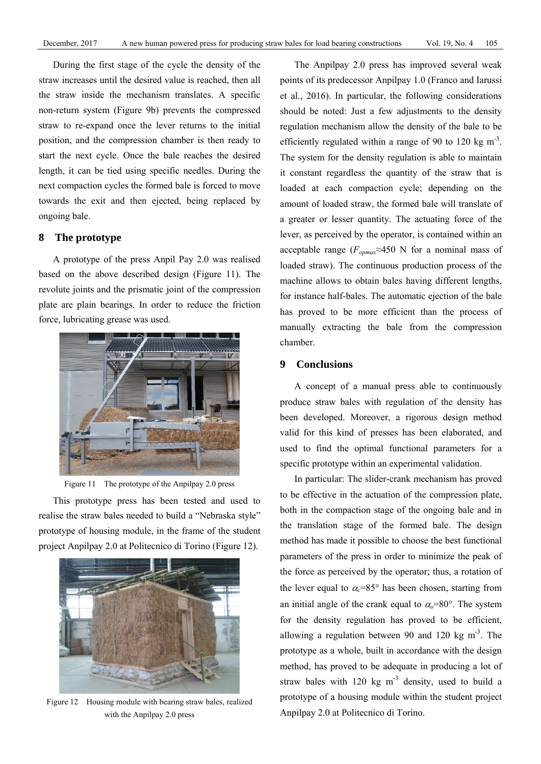During the first stage of the cycle the density of the straw increases until the desired value is reached, then all the straw inside the mechanism translates. A specific non-return system (Figure 9b) prevents the compressed straw to re-expand once the lever returns to the initial position, and the compression chamber is then ready to start the next cycle. Once the bale reaches the desired length, it can be tied using specific needles. During the next compaction cycles the formed bale is forced to move towards the exit and then ejected, being replaced by ongoing bale.

# **8 The prototype**

A prototype of the press Anpil Pay 2.0 was realised based on the above described design (Figure 11). The revolute joints and the prismatic joint of the compression plate are plain bearings. In order to reduce the friction force, lubricating grease was used.



Figure 11 The prototype of the Anpilpay 2.0 press

This prototype press has been tested and used to realise the straw bales needed to build a "Nebraska style" prototype of housing module, in the frame of the student project Anpilpay 2.0 at Politecnico di Torino (Figure 12).



Figure 12 Housing module with bearing straw bales, realized with the Anpilpay 2.0 press

The Anpilpay 2.0 press has improved several weak points of its predecessor Anpilpay 1.0 (Franco and Iarussi et al., 2016). In particular, the following considerations should be noted: Just a few adjustments to the density regulation mechanism allow the density of the bale to be efficiently regulated within a range of 90 to 120 kg  $m<sup>-3</sup>$ . The system for the density regulation is able to maintain it constant regardless the quantity of the straw that is loaded at each compaction cycle; depending on the amount of loaded straw, the formed bale will translate of a greater or lesser quantity. The actuating force of the lever, as perceived by the operator, is contained within an acceptable range (*Fopmax≈*450 N for a nominal mass of loaded straw). The continuous production process of the machine allows to obtain bales having different lengths, for instance half-bales. The automatic ejection of the bale has proved to be more efficient than the process of manually extracting the bale from the compression chamber.

### **9 Conclusions**

A concept of a manual press able to continuously produce straw bales with regulation of the density has been developed. Moreover, a rigorous design method valid for this kind of presses has been elaborated, and used to find the optimal functional parameters for a specific prototype within an experimental validation.

In particular: The slider-crank mechanism has proved to be effective in the actuation of the compression plate, both in the compaction stage of the ongoing bale and in the translation stage of the formed bale. The design method has made it possible to choose the best functional parameters of the press in order to minimize the peak of the force as perceived by the operator; thus, a rotation of the lever equal to  $\alpha_c = 85^\circ$  has been chosen, starting from an initial angle of the crank equal to  $\alpha_0$ =80°. The system for the density regulation has proved to be efficient, allowing a regulation between 90 and 120 kg  $\text{m}^3$ . The prototype as a whole, built in accordance with the design method, has proved to be adequate in producing a lot of straw bales with 120 kg  $m<sup>3</sup>$  density, used to build a prototype of a housing module within the student project Anpilpay 2.0 at Politecnico di Torino.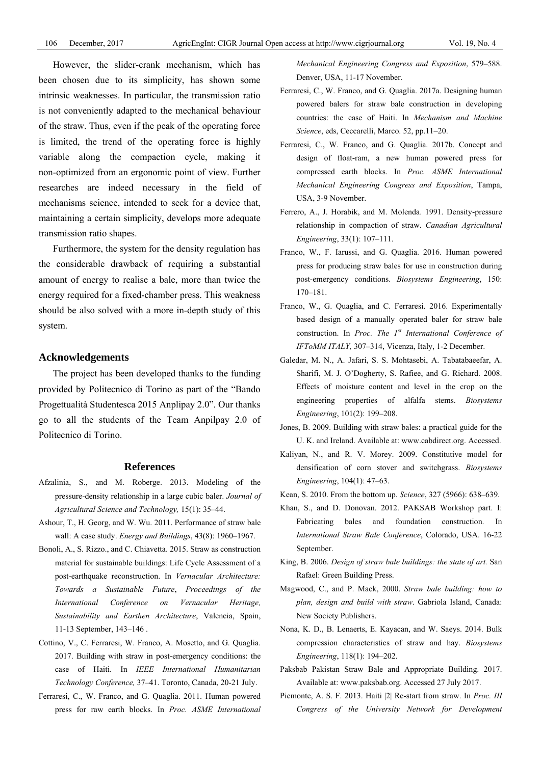However, the slider-crank mechanism, which has been chosen due to its simplicity, has shown some intrinsic weaknesses. In particular, the transmission ratio is not conveniently adapted to the mechanical behaviour of the straw. Thus, even if the peak of the operating force is limited, the trend of the operating force is highly variable along the compaction cycle, making it non-optimized from an ergonomic point of view. Further researches are indeed necessary in the field of mechanisms science, intended to seek for a device that, maintaining a certain simplicity, develops more adequate transmission ratio shapes.

Furthermore, the system for the density regulation has the considerable drawback of requiring a substantial amount of energy to realise a bale, more than twice the energy required for a fixed-chamber press. This weakness should be also solved with a more in-depth study of this system.

## **Acknowledgements**

The project has been developed thanks to the funding provided by Politecnico di Torino as part of the "Bando Progettualità Studentesca 2015 Anplipay 2.0". Our thanks go to all the students of the Team Anpilpay 2.0 of Politecnico di Torino.

#### **References**

- Afzalinia, S., and M. Roberge. 2013. Modeling of the pressure-density relationship in a large cubic baler. *Journal of Agricultural Science and Technology,* 15(1): 35–44.
- Ashour, T., H. Georg, and W. Wu. 2011. Performance of straw bale wall: A case study. *Energy and Buildings*, 43(8): 1960–1967.
- Bonoli, A., S. Rizzo., and C. Chiavetta. 2015. Straw as construction material for sustainable buildings: Life Cycle Assessment of a post-earthquake reconstruction. In *Vernacular Architecture: Towards a Sustainable Future*, *Proceedings of the International Conference on Vernacular Heritage, Sustainability and Earthen Architecture*, Valencia, Spain, 11-13 September, 143–146 .
- Cottino, V., C. Ferraresi, W. Franco, A. Mosetto, and G. Quaglia. 2017. Building with straw in post-emergency conditions: the case of Haiti. In *IEEE International Humanitarian Technology Conference,* 37–41. Toronto, Canada, 20-21 July.
- Ferraresi, C., W. Franco, and G. Quaglia. 2011. Human powered press for raw earth blocks. In *Proc. ASME International*

*Mechanical Engineering Congress and Exposition*, 579–588. Denver, USA, 11-17 November.

- Ferraresi, C., W. Franco, and G. Quaglia. 2017a. Designing human powered balers for straw bale construction in developing countries: the case of Haiti. In *Mechanism and Machine Science*, eds, Ceccarelli, Marco. 52, pp.11–20.
- Ferraresi, C., W. Franco, and G. Quaglia. 2017b. Concept and design of float-ram, a new human powered press for compressed earth blocks. In *Proc. ASME International Mechanical Engineering Congress and Exposition*, Tampa, USA, 3-9 November.
- Ferrero, A., J. Horabik, and M. Molenda. 1991. Density-pressure relationship in compaction of straw. *Canadian Agricultural Engineering*, 33(1): 107–111.
- Franco, W., F. Iarussi, and G. Quaglia. 2016. Human powered press for producing straw bales for use in construction during post-emergency conditions. *Biosystems Engineering*, 150: 170–181.
- Franco, W., G. Quaglia, and C. Ferraresi. 2016. Experimentally based design of a manually operated baler for straw bale construction. In *Proc. The 1st International Conference of IFToMM ITALY,* 307–314, Vicenza, Italy, 1-2 December.
- Galedar, M. N., A. Jafari, S. S. Mohtasebi, A. Tabatabaeefar, A. Sharifi, M. J. O'Dogherty, S. Rafiee, and G. Richard. 2008. Effects of moisture content and level in the crop on the engineering properties of alfalfa stems. *Biosystems Engineering*, 101(2): 199–208.
- Jones, B. 2009. Building with straw bales: a practical guide for the U. K. and Ireland. Available at: www.cabdirect.org. Accessed.
- Kaliyan, N., and R. V. Morey. 2009. Constitutive model for densification of corn stover and switchgrass. *Biosystems Engineering*, 104(1): 47–63.
- Kean, S. 2010. From the bottom up. *Science*, 327 (5966): 638–639.
- Khan, S., and D. Donovan. 2012. PAKSAB Workshop part. I: Fabricating bales and foundation construction. In *International Straw Bale Conference*, Colorado, USA. 16-22 September.
- King, B. 2006. *Design of straw bale buildings: the state of art.* San Rafael: Green Building Press.
- Magwood, C., and P. Mack, 2000. *Straw bale building: how to plan, design and build with straw*. Gabriola Island, Canada: New Society Publishers.
- Nona, K. D., B. Lenaerts, E. Kayacan, and W. Saeys. 2014. Bulk compression characteristics of straw and hay. *Biosystems Engineering*, 118(1): 194–202.
- Paksbab Pakistan Straw Bale and Appropriate Building. 2017. Available at: www.paksbab.org. Accessed 27 July 2017.
- Piemonte, A. S. F. 2013. Haiti |2| Re-start from straw. In *Proc. III Congress of the University Network for Development*